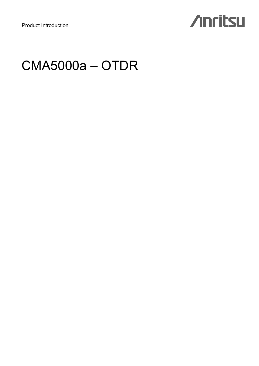# **Anritsu**

## CMA5000a – OTDR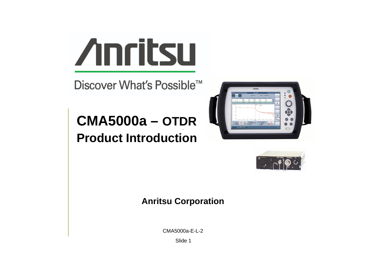

Discover What's Possible™

# **CMA5000a – OTDR Product Introduction**





### **Anritsu Corporation**

CMA5000a-E-L-2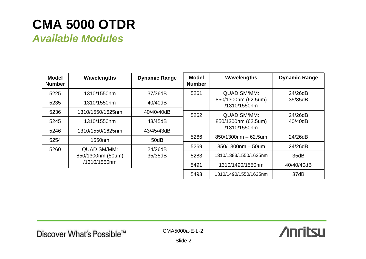## **CMA 5000 OTDR**

*Available Modules*

| <b>Model</b><br><b>Number</b> | Wavelengths                                             | <b>Dynamic Range</b> | <b>Model</b><br><b>Number</b> | Wavelengths                         | <b>Dynamic Range</b> |  |
|-------------------------------|---------------------------------------------------------|----------------------|-------------------------------|-------------------------------------|----------------------|--|
| 5225                          | 1310/1550nm                                             | 37/36dB              | 5261                          | <b>QUAD SM/MM:</b>                  | 24/26dB              |  |
| 5235                          | 1310/1550nm                                             | 40/40dB              |                               | 850/1300nm (62.5um)<br>/1310/1550nm | 35/35dB              |  |
| 5236                          | 1310/1550/1625nm                                        | 40/40/40dB           | 5262                          | <b>QUAD SM/MM:</b>                  | 24/26dB              |  |
| 5245                          | 1310/1550nm                                             | 43/45dB              |                               | 850/1300nm (62.5um)                 | 40/40dB              |  |
| 5246                          | 1310/1550/1625nm                                        | 43/45/43dB           |                               | /1310/1550nm                        |                      |  |
| 5254                          | 1550 <sub>nm</sub>                                      | 50dB                 | 5266                          | $850/1300$ nm $-62.5$ um            | 24/26dB              |  |
| 5260                          | <b>QUAD SM/MM:</b><br>850/1300nm (50um)<br>/1310/1550nm | 24/26dB<br>35/35dB   | 5269                          | $850/1300$ nm - 50um                | 24/26dB              |  |
|                               |                                                         |                      | 5283                          | 1310/1383/1550/1625nm               | 35dB                 |  |
|                               |                                                         |                      | 5491                          | 1310/1490/1550nm                    | 40/40/40dB           |  |
|                               |                                                         |                      | 5493                          | 1310/1490/1550/1625nm               | 37dB                 |  |

į,

CMA5000a-E-L-2

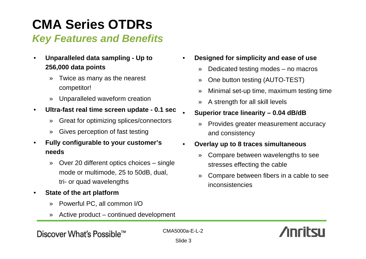# **CMA Series OTDRs**

## *Key Features and Benefits*

- **Unparalleled data sampling Up to 256,000 data points**
	- » Twice as many as the nearest competitor!
	- » Unparalleled waveform creation
- **Ultra-fast real time screen update 0.1 sec**
	- » Great for optimizing splices/connectors
	- » Gives perception of fast testing
- **Fully configurable to your customer's needs**
	- » Over 20 different optics choices single mode or multimode, 25 to 50dB, dual, tri- or quad wavelengths
- **State of the art platform**
	- » Powerful PC, all common I/O
	- » Active product continued development
- **Designed for simplicity and ease of use**
	- » Dedicated testing modes no macros
	- » One button testing (AUTO-TEST)
	- » Minimal set-up time, maximum testing time
	- » A strength for all skill levels
- **Superior trace linearity 0.04 dB/dB**
	- » Provides greater measurement accuracy and consistency

### • **Overlay up to 8 traces simultaneous**

- » Compare between wavelengths to see stresses effecting the cable
- » Compare between fibers in a cable to see inconsistencies



Discover What's Possible™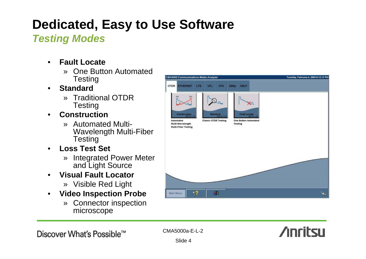# **Dedicated, Easy to Use Software**

## *Testing Modes*

- **Fault Locate**
	- » One Button Automated **Testing**
- **Standard**
	- » Traditional OTDR **Testing**
- **Construction**
	- » Automated Multi-Wavelength Multi-Fiber **Testing**
- **Loss Test Set**
	- » Integrated Power Meter and Light Source
- **Visual Fault Locator**
	- » Visible Red Light
- **Video Inspection Probe**
	- » Connector inspection microscope



Discover What's Possible™

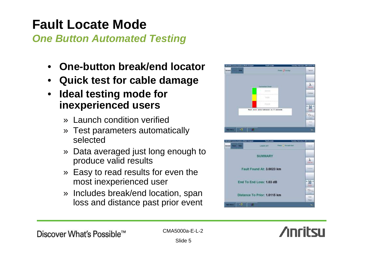# **Fault Locate Mode**

*One Button Automated Testing*

- **One-button break/end locator**
- **Quick test for cable damage**
- **Ideal testing mode for inexperienced users**
	- » Launch condition verified
	- » Test parameters automatically selected
	- » Data averaged just long enough to produce valid results
	- » Easy to read results for even the most inexperienced user
	- » Includes break/end location, span loss and distance past prior event





**Anritsu**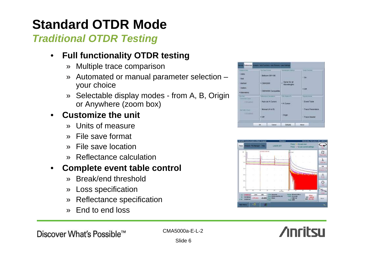# **Standard OTDR Mode**

## *Traditional OTDR Testing*

## • **Full functionality OTDR testing**

- » Multiple trace comparison
- » Automated or manual parameter selection your choice
- » Selectable display modes from A, B, Origin or Anywhere (zoom box)

## • **Customize the unit**

- » Units of measure
- » File save format
- » File save location
- » Reflectance calculation

### • **Complete event table control**

- » Break/end threshold
- » Loss specification
- » Reflectance specification
- » End to end loss







Discover What's Possible™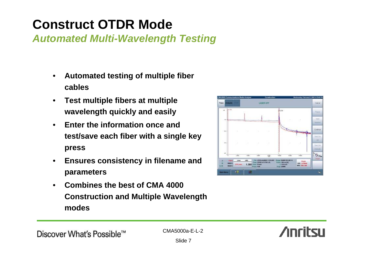# **Construct OTDR Mode**

*Automated Multi-Wavelength Testing*

- **Automated testing of multiple fiber cables**
- **Test multiple fibers at multiple wavelength quickly and easily**
- **Enter the information once and test/save each fiber with a single key press**
- **Ensures consistency in filename and parameters**
- **Combines the best of CMA 4000 Construction and Multiple Wavelength modes**



**Anritsu**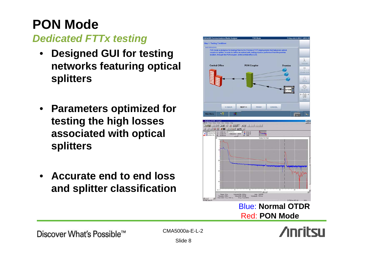## **PON Mode**  *Dedicated FTTx testing*

- **Designed GUI for testing networks featuring optical splitters**
- **Parameters optimized for testing the high losses associated with optical splitters**
- **Accurate end to end loss and splitter classification**



### Blue: **Normal OTDR**Red: **PON Mode**



Discover What's Possible™

CMA5000a-E-L-2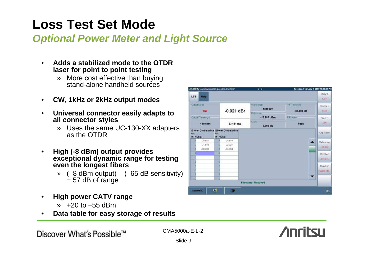## **Loss Test Set Mode**

## *Optional Power Meter and Light Source*

- **Adds a stabilized mode to the OTDR laser for point to point testing**
	- » More cost effective than buying stand-alone handheld sources
- **CW, 1kHz or 2kHz output modes**
- **Universal connector easily adapts to all connector styles**
	- » Uses the same UC-130-XX adapters as the OTDR
- **High (-8 dBm) output provides exceptional dynamic range for testing even the longest fibers**
	- » (−8 dBm output) <sup>−</sup> (−65 dB sensitivity)  $= 57$  dB of range
- **High power CATV range**
	- » +20 to −55 dBm
- **Data table for easy storage of results**



Discover What's Possible™

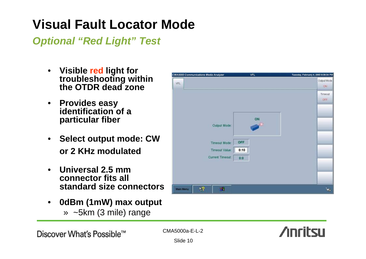# **Visual Fault Locator Mode**

*Optional "Red Light" Test*

- **Visible red light for troubleshooting within the OTDR dead zone**
- **Provides easy identification of a particular fiber**
- **Select output mode: CW or 2 KHz modulated**
- **Universal 2.5 mm connector fits all standard size connectors**
- **0dBm (1mW) max output** » ~5km (3 mile) range

| CMA5000 Communications Media Analyzer | <b>VFL</b> | Tuesday, February 4, 2003 9:30:34 PM |
|---------------------------------------|------------|--------------------------------------|
| VFL                                   |            | Output Mode<br>ON.                   |
|                                       |            | Timeout<br>OFF                       |
|                                       |            |                                      |
|                                       | ON         |                                      |
| Output Mode:                          |            |                                      |
|                                       | OFF        |                                      |
| Timeout Mode:<br>Timeout Value:       | 0:10       |                                      |
| Current Timeout:                      | 0:0        |                                      |
|                                       |            |                                      |
|                                       |            |                                      |
| $x^2$<br>堀<br><b>Main Menu</b>        |            | z.                                   |

Discover What's Possible™

CMA5000a-E-L-2

**Anritsu**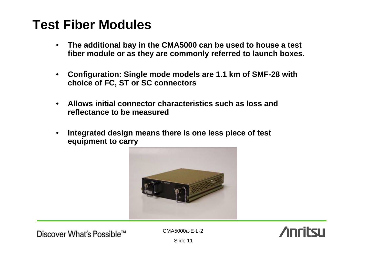## **Test Fiber Modules**

- **The additional bay in the CMA5000 can be used to house a test fiber module or as they are commonly referred to launch boxes.**
- **Configuration: Single mode models are 1.1 km of SMF-28 with choice of FC, ST or SC connectors**
- **Allows initial connector characteristics such as loss and reflectance to be measured**
- **Integrated design means there is one less piece of test equipment to carry**



Discover What's Possible™

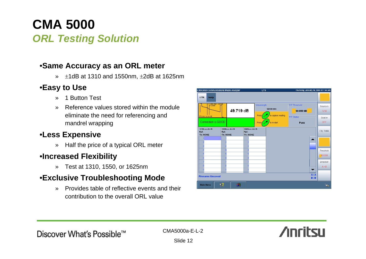## **CMA 5000**  *ORL Testing Solution*

### •**Same Accuracy as an ORL meter**

 $\frac{1}{2}$   $\pm$ 1dB at 1310 and 1550nm,  $\pm$ 2dB at 1625nm

### •**Easy to Use**

- » 1 Button Test
- » Reference values stored within the module eliminate the need for referencing and mandrel wrapping

### •**Less Expensive**

» Half the price of a typical ORL meter

### •**Increased Flexibility**

» Test at 1310, 1550, or 1625nm

### •**Exclusive Troubleshooting Mode**

» Provides table of reflective events and their contribution to the overall ORL value

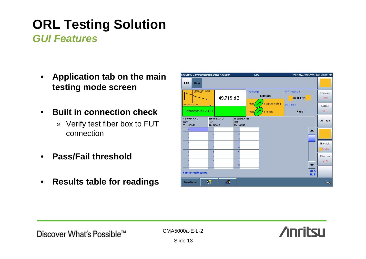## **ORL Testing Solution**  *GUI Features*

- **Application tab on the main testing mode screen**
- **Built in connection check**
	- » Verify test fiber box to FUT connection
- **Pass/Fail threshold**
- **Results table for readings**

| CMA5000 Communications Media Analyzer     |                  |             |                                  | <b>LTS</b>                                             |             |                                | Thursday, January 16, 2003 8:17:44 AM |                                    |
|-------------------------------------------|------------------|-------------|----------------------------------|--------------------------------------------------------|-------------|--------------------------------|---------------------------------------|------------------------------------|
| <b>LTS</b><br><b>Help</b>                 |                  |             |                                  |                                                        |             |                                |                                       |                                    |
| $= 1.000$ , Refl = $-62.5dB$<br>B=1.5000  |                  | 49.719 dB   |                                  | Wavelength-<br>1310 nm<br>to capture reading<br>Press, |             | -P/F Threshold-<br>$60.000$ dB |                                       | Source $\lambda$<br>1310<br>Source |
| 2Pt Loss: xx.xxx dB<br>Connection is GOOD |                  |             |                                  | Press.                                                 | to re-start | <b>P/F Status</b><br>Pass      |                                       |                                    |
| 1310nm A > B<br>Ref:<br>Th: NONE          | Ref:<br>Th: NONE | 1550nm A->B | 1625nm A > B<br>Ref:<br>Th: NONE |                                                        |             |                                |                                       | Cfg. Table                         |
|                                           |                  |             |                                  |                                                        |             |                                |                                       |                                    |
|                                           |                  |             |                                  |                                                        |             |                                |                                       | Threshold                          |
|                                           |                  |             |                                  |                                                        |             |                                |                                       | 60.000<br><b>Direction</b>         |
|                                           |                  |             |                                  |                                                        |             |                                | ▼                                     | $A - B$                            |
| <b>Filename: Unsaved</b>                  |                  |             |                                  |                                                        |             |                                | A: A<br>B: B                          |                                    |
| <b>Main Menu</b>                          | ት?               | 9H          |                                  |                                                        |             |                                |                                       | ٢ö.                                |

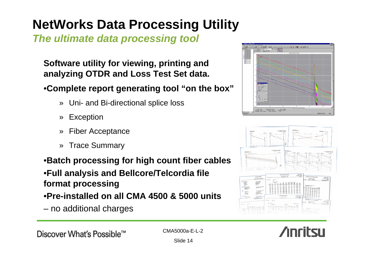# **NetWorks Data Processing Utility**

*The ultimate data processing tool*

**Software utility for viewing, printing and analyzing OTDR and Loss Test Set data.** 

### •**Complete report generating tool "on the box"**

- » Uni- and Bi-directional splice loss
- » Exception
- » Fiber Acceptance
- » Trace Summary

### •**Batch processing for high count fiber cables** •**Full analysis and Bellcore/Telcordia file format processing** •**Pre-installed on all CMA 4500 & 5000 units**

– no additional charges





Discover What's Possible™

CMA5000a-E-L-2

**Anritsu**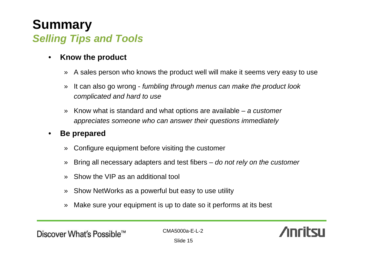## **Summary**  *Selling Tips and Tools*

- **Know the product**
	- » A sales person who knows the product well will make it seems very easy to use
	- » It can also go wrong *fumbling through menus can make the product look complicated and hard to use*
	- » Know what is standard and what options are available *a customer appreciates someone who can answer their questions immediately*

### • **Be prepared**

- » Configure equipment before visiting the customer
- » Bring all necessary adapters and test fibers *do not rely on the customer*
- » Show the VIP as an additional tool
- » Show NetWorks as a powerful but easy to use utility
- » Make sure your equipment is up to date so it performs at its best

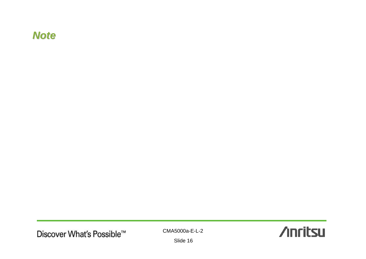### *Note*

U

CMA5000a-E-L-2